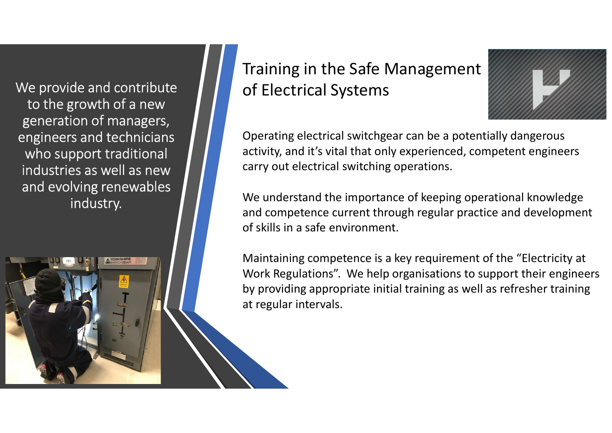We provide and contribute to the growth of a new generation of managers, engineers and technicians who support traditional industries as well as new and evolving renewables industry.

## Training in the Safe Management of Electrical Systems



Operating electrical switchgear can be a potentially dangerous activity, and it's vital that only experienced, competent engineers carry out electrical switching operations.

We understand the importance of keeping operational knowledge and competence current through regular practice and development of skills in a safe environment.

Maintaining competence is a key requirement of the "Electricity at Work Regulations". We help organisations to support their engineers by providing appropriate initial training as well as refresher training at regular intervals.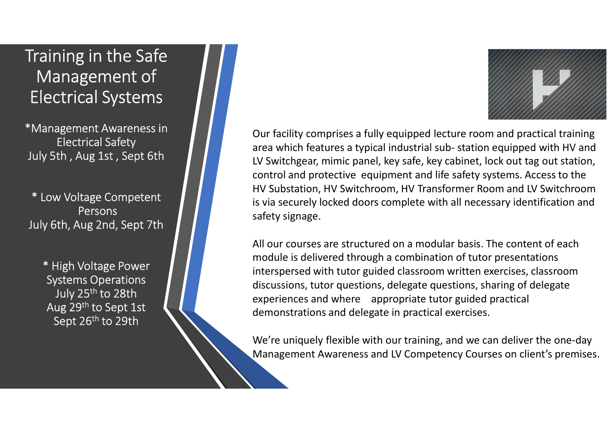## Training in the Safe Management of Electrical Systems

\*Management Awareness in Electrical Safety July 5th , Aug 1st , Sept 6th

\* Low Voltage Competent Persons July 6th, Aug 2nd, Sept 7th

> \* High Voltage Power Systems Operations July 25<sup>th</sup> to 28th Aug 29th to Sept 1st Sept 26<sup>th</sup> to 29th

Our facility comprises a fully equipped lecture room and practical training are a which features a fully equipped lecture room and practical training<br>area which features a typical industrial sub- station equipped with HV and<br>LV Switchgear, mimic panel, key safe, key cabinet, lock out tag out stati LV Switchgear, mimic panel, key safe, key cabinet, lock out tag out station, control and protective equipment and life safety systems. Access to the HV Substation, HV Switchroom, HV Transformer Room and LV Switchroom is via securely locked doors complete with all necessary identification and safety signage.

All our courses are structured on a modular basis. The content of each module is delivered through a combination of tutor presentations interspersed with tutor guided classroom written exercises, classroom discussions, tutor questions, delegate questions, sharing of delegate experiences and where appropriate tutor guided practical demonstrations and delegate in practical exercises.

We're uniquely flexible with our training, and we can deliver the one-day Management Awareness and LV Competency Courses on client's premises.